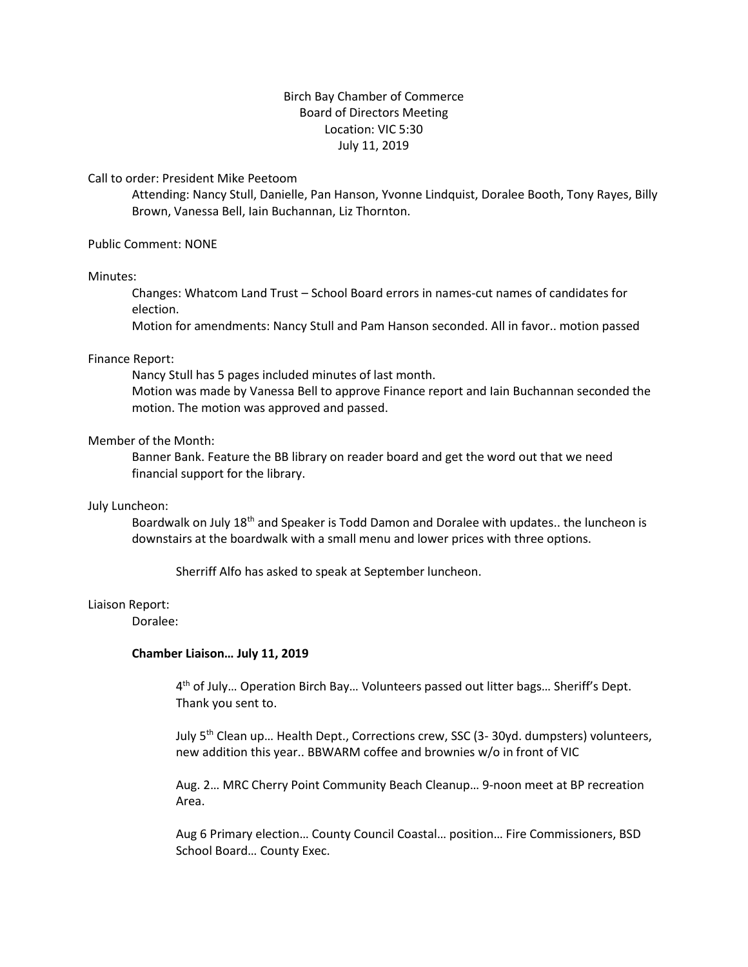# Birch Bay Chamber of Commerce Board of Directors Meeting Location: VIC 5:30 July 11, 2019

Call to order: President Mike Peetoom

Attending: Nancy Stull, Danielle, Pan Hanson, Yvonne Lindquist, Doralee Booth, Tony Rayes, Billy Brown, Vanessa Bell, Iain Buchannan, Liz Thornton.

Public Comment: NONE

# Minutes:

Changes: Whatcom Land Trust – School Board errors in names-cut names of candidates for election.

Motion for amendments: Nancy Stull and Pam Hanson seconded. All in favor.. motion passed

# Finance Report:

Nancy Stull has 5 pages included minutes of last month. Motion was made by Vanessa Bell to approve Finance report and Iain Buchannan seconded the motion. The motion was approved and passed.

# Member of the Month:

Banner Bank. Feature the BB library on reader board and get the word out that we need financial support for the library.

### July Luncheon:

Boardwalk on July 18<sup>th</sup> and Speaker is Todd Damon and Doralee with updates.. the luncheon is downstairs at the boardwalk with a small menu and lower prices with three options.

Sherriff Alfo has asked to speak at September luncheon.

# Liaison Report:

Doralee:

### **Chamber Liaison… July 11, 2019**

4<sup>th</sup> of July... Operation Birch Bay... Volunteers passed out litter bags... Sheriff's Dept. Thank you sent to.

July 5<sup>th</sup> Clean up... Health Dept., Corrections crew, SSC (3-30yd. dumpsters) volunteers, new addition this year.. BBWARM coffee and brownies w/o in front of VIC

Aug. 2… MRC Cherry Point Community Beach Cleanup… 9-noon meet at BP recreation Area.

Aug 6 Primary election… County Council Coastal… position… Fire Commissioners, BSD School Board… County Exec.